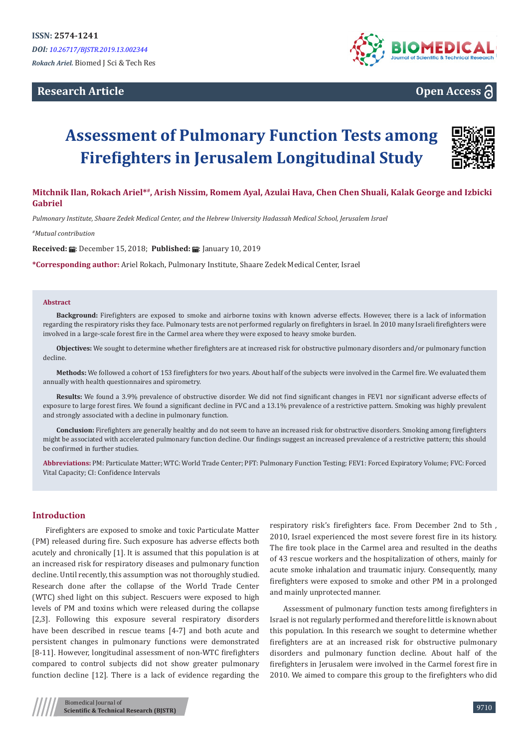## **Research Article**



# **Open Access**

# **Assessment of Pulmonary Function Tests among Firefighters in Jerusalem Longitudinal Study**



## **Mitchnik Ilan, Rokach Ariel\*#, Arish Nissim, Romem Ayal, Azulai Hava, Chen Chen Shuali, Kalak George and Izbicki Gabriel**

*Pulmonary Institute, Shaare Zedek Medical Center, and the Hebrew University Hadassah Medical School, Jerusalem Israel*

*#Mutual contribution* 

**Received:**  $\blacksquare$ : December 15, 2018; **Published:**  $\blacksquare$ : January 10, 2019

**\*Corresponding author:** Ariel Rokach, Pulmonary Institute, Shaare Zedek Medical Center, Israel

#### **Abstract**

**Background:** Firefighters are exposed to smoke and airborne toxins with known adverse effects. However, there is a lack of information regarding the respiratory risks they face. Pulmonary tests are not performed regularly on firefighters in Israel. In 2010 many Israeli firefighters were involved in a large-scale forest fire in the Carmel area where they were exposed to heavy smoke burden.

**Objectives:** We sought to determine whether firefighters are at increased risk for obstructive pulmonary disorders and/or pulmonary function decline.

**Methods:** We followed a cohort of 153 firefighters for two years. About half of the subjects were involved in the Carmel fire. We evaluated them annually with health questionnaires and spirometry.

Results: We found a 3.9% prevalence of obstructive disorder. We did not find significant changes in FEV1 nor significant adverse effects of exposure to large forest fires. We found a significant decline in FVC and a 13.1% prevalence of a restrictive pattern. Smoking was highly prevalent and strongly associated with a decline in pulmonary function.

**Conclusion:** Firefighters are generally healthy and do not seem to have an increased risk for obstructive disorders. Smoking among firefighters might be associated with accelerated pulmonary function decline. Our findings suggest an increased prevalence of a restrictive pattern; this should be confirmed in further studies.

**Abbreviations:** PM: Particulate Matter; WTC: World Trade Center; PFT: Pulmonary Function Testing; FEV1: Forced Expiratory Volume; FVC: Forced Vital Capacity; CI: Confidence Intervals

#### **Introduction**

Firefighters are exposed to smoke and toxic Particulate Matter (PM) released during fire. Such exposure has adverse effects both acutely and chronically [1]. It is assumed that this population is at an increased risk for respiratory diseases and pulmonary function decline. Until recently, this assumption was not thoroughly studied. Research done after the collapse of the World Trade Center (WTC) shed light on this subject. Rescuers were exposed to high levels of PM and toxins which were released during the collapse [2,3]. Following this exposure several respiratory disorders have been described in rescue teams [4-7] and both acute and persistent changes in pulmonary functions were demonstrated [8-11]. However, longitudinal assessment of non-WTC firefighters compared to control subjects did not show greater pulmonary function decline [12]. There is a lack of evidence regarding the

respiratory risk's firefighters face. From December 2nd to 5th , 2010, Israel experienced the most severe forest fire in its history. The fire took place in the Carmel area and resulted in the deaths of 43 rescue workers and the hospitalization of others, mainly for acute smoke inhalation and traumatic injury. Consequently, many firefighters were exposed to smoke and other PM in a prolonged and mainly unprotected manner.

Assessment of pulmonary function tests among firefighters in Israel is not regularly performed and therefore little is known about this population. In this research we sought to determine whether firefighters are at an increased risk for obstructive pulmonary disorders and pulmonary function decline. About half of the firefighters in Jerusalem were involved in the Carmel forest fire in 2010. We aimed to compare this group to the firefighters who did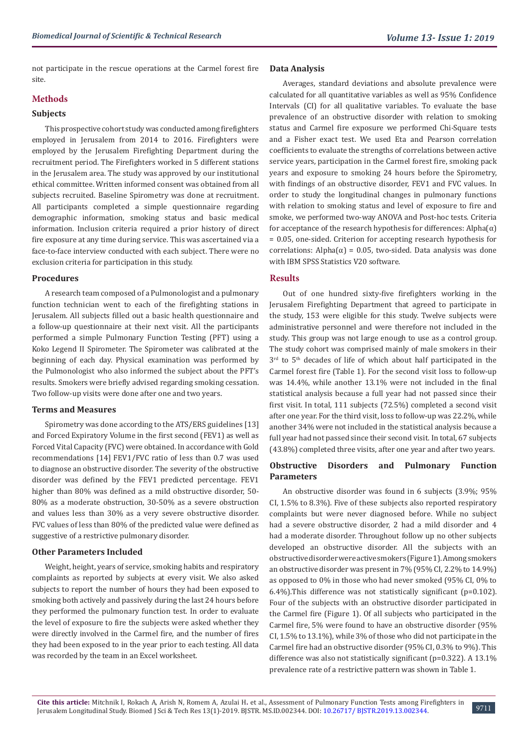not participate in the rescue operations at the Carmel forest fire site.

## **Methods**

#### **Subjects**

This prospective cohort study was conducted among firefighters employed in Jerusalem from 2014 to 2016. Firefighters were employed by the Jerusalem Firefighting Department during the recruitment period. The Firefighters worked in 5 different stations in the Jerusalem area. The study was approved by our institutional ethical committee. Written informed consent was obtained from all subjects recruited. Baseline Spirometry was done at recruitment. All participants completed a simple questionnaire regarding demographic information, smoking status and basic medical information. Inclusion criteria required a prior history of direct fire exposure at any time during service. This was ascertained via a face-to-face interview conducted with each subject. There were no exclusion criteria for participation in this study.

#### **Procedures**

A research team composed of a Pulmonologist and a pulmonary function technician went to each of the firefighting stations in Jerusalem. All subjects filled out a basic health questionnaire and a follow-up questionnaire at their next visit. All the participants performed a simple Pulmonary Function Testing (PFT) using a Koko Legend II Spirometer. The Spirometer was calibrated at the beginning of each day. Physical examination was performed by the Pulmonologist who also informed the subject about the PFT's results. Smokers were briefly advised regarding smoking cessation. Two follow-up visits were done after one and two years.

#### **Terms and Measures**

Spirometry was done according to the ATS/ERS guidelines [13] and Forced Expiratory Volume in the first second (FEV1) as well as Forced Vital Capacity (FVC) were obtained. In accordance with Gold recommendations [14] FEV1/FVC ratio of less than 0.7 was used to diagnose an obstructive disorder. The severity of the obstructive disorder was defined by the FEV1 predicted percentage. FEV1 higher than 80% was defined as a mild obstructive disorder, 50- 80% as a moderate obstruction, 30-50% as a severe obstruction and values less than 30% as a very severe obstructive disorder. FVC values of less than 80% of the predicted value were defined as suggestive of a restrictive pulmonary disorder.

### **Other Parameters Included**

Weight, height, years of service, smoking habits and respiratory complaints as reported by subjects at every visit. We also asked subjects to report the number of hours they had been exposed to smoking both actively and passively during the last 24 hours before they performed the pulmonary function test. In order to evaluate the level of exposure to fire the subjects were asked whether they were directly involved in the Carmel fire, and the number of fires they had been exposed to in the year prior to each testing. All data was recorded by the team in an Excel worksheet.

#### **Data Analysis**

Averages, standard deviations and absolute prevalence were calculated for all quantitative variables as well as 95% Confidence Intervals (CI) for all qualitative variables. To evaluate the base prevalence of an obstructive disorder with relation to smoking status and Carmel fire exposure we performed Chi-Square tests and a Fisher exact test. We used Eta and Pearson correlation coefficients to evaluate the strengths of correlations between active service years, participation in the Carmel forest fire, smoking pack years and exposure to smoking 24 hours before the Spirometry, with findings of an obstructive disorder, FEV1 and FVC values. In order to study the longitudinal changes in pulmonary functions with relation to smoking status and level of exposure to fire and smoke, we performed two-way ANOVA and Post-hoc tests. Criteria for acceptance of the research hypothesis for differences:  $Alpha(\alpha)$ = 0.05, one-sided. Criterion for accepting research hypothesis for correlations: Alpha(α) = 0.05, two-sided. Data analysis was done with IBM SPSS Statistics V20 software.

### **Results**

Out of one hundred sixty-five firefighters working in the Jerusalem Firefighting Department that agreed to participate in the study, 153 were eligible for this study. Twelve subjects were administrative personnel and were therefore not included in the study. This group was not large enough to use as a control group. The study cohort was comprised mainly of male smokers in their  $3<sup>rd</sup>$  to  $5<sup>th</sup>$  decades of life of which about half participated in the Carmel forest fire (Table 1). For the second visit loss to follow-up was 14.4%, while another 13.1% were not included in the final statistical analysis because a full year had not passed since their first visit. In total, 111 subjects (72.5%) completed a second visit after one year. For the third visit, loss to follow-up was 22.2%, while another 34% were not included in the statistical analysis because a full year had not passed since their second visit. In total, 67 subjects (43.8%) completed three visits, after one year and after two years.

### **Obstructive Disorders and Pulmonary Function Parameters**

An obstructive disorder was found in 6 subjects (3.9%; 95% CI, 1.5% to 8.3%). Five of these subjects also reported respiratory complaints but were never diagnosed before. While no subject had a severe obstructive disorder, 2 had a mild disorder and 4 had a moderate disorder. Throughout follow up no other subjects developed an obstructive disorder. All the subjects with an obstructive disorder were active smokers (Figure 1). Among smokers an obstructive disorder was present in 7% (95% CI, 2.2% to 14.9%) as opposed to 0% in those who had never smoked (95% CI, 0% to 6.4%).This difference was not statistically significant (p=0.102). Four of the subjects with an obstructive disorder participated in the Carmel fire (Figure 1). Of all subjects who participated in the Carmel fire, 5% were found to have an obstructive disorder (95% CI, 1.5% to 13.1%), while 3% of those who did not participate in the Carmel fire had an obstructive disorder (95% CI, 0.3% to 9%). This difference was also not statistically significant (p=0.322). A 13.1% prevalence rate of a restrictive pattern was shown in Table 1.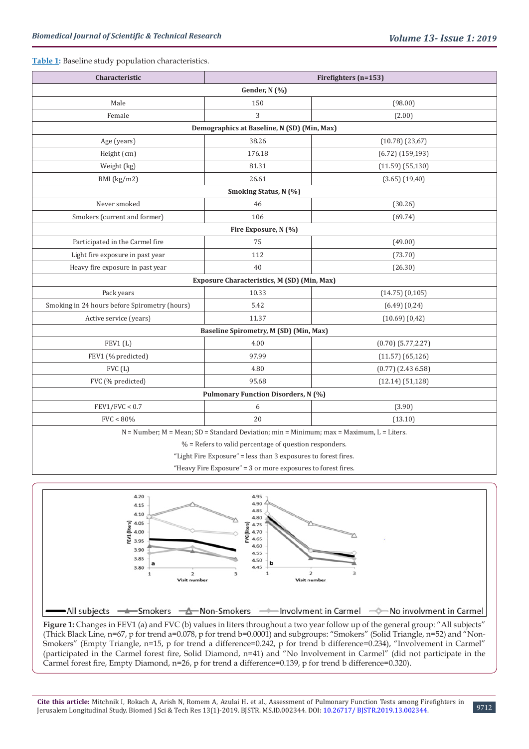#### **Table 1:** Baseline study population characteristics.

| Characteristic                                                                                 | Firefighters (n=153)                        |                         |  |  |  |  |
|------------------------------------------------------------------------------------------------|---------------------------------------------|-------------------------|--|--|--|--|
| Gender, N (%)                                                                                  |                                             |                         |  |  |  |  |
| Male                                                                                           | 150                                         | (98.00)                 |  |  |  |  |
| Female                                                                                         | 3                                           | (2.00)                  |  |  |  |  |
| Demographics at Baseline, N (SD) (Min, Max)                                                    |                                             |                         |  |  |  |  |
| Age (years)                                                                                    | 38.26                                       | (10.78)(23,67)          |  |  |  |  |
| Height (cm)                                                                                    | 176.18                                      | $(6.72)$ (159,193)      |  |  |  |  |
| Weight (kg)                                                                                    | 81.31                                       | $(11.59)$ $(55,130)$    |  |  |  |  |
| $BMI$ (kg/m2)                                                                                  | 26.61                                       | $(3.65)$ $(19,40)$      |  |  |  |  |
| Smoking Status, N (%)                                                                          |                                             |                         |  |  |  |  |
| Never smoked                                                                                   | 46                                          | (30.26)                 |  |  |  |  |
| Smokers (current and former)                                                                   | 106                                         | (69.74)                 |  |  |  |  |
| Fire Exposure, N (%)                                                                           |                                             |                         |  |  |  |  |
| Participated in the Carmel fire                                                                | 75                                          | (49.00)                 |  |  |  |  |
| Light fire exposure in past year                                                               | 112                                         | (73.70)                 |  |  |  |  |
| Heavy fire exposure in past year                                                               | 40                                          | (26.30)                 |  |  |  |  |
|                                                                                                | Exposure Characteristics, M (SD) (Min, Max) |                         |  |  |  |  |
| Pack years                                                                                     | 10.33                                       | $(14.75)$ $(0,105)$     |  |  |  |  |
| Smoking in 24 hours before Spirometry (hours)                                                  | 5.42                                        | $(6.49)$ $(0,24)$       |  |  |  |  |
| Active service (years)                                                                         | 11.37                                       | $(10.69)$ $(0.42)$      |  |  |  |  |
| Baseline Spirometry, M (SD) (Min, Max)                                                         |                                             |                         |  |  |  |  |
| FEV1(L)                                                                                        | 4.00                                        | $(0.70)$ $(5.77, 2.27)$ |  |  |  |  |
| FEV1 (% predicted)                                                                             | 97.99                                       | $(11.57)$ $(65, 126)$   |  |  |  |  |
| FVC(L)                                                                                         | 4.80                                        | $(0.77)$ $(2.436.58)$   |  |  |  |  |
| FVC (% predicted)                                                                              | 95.68                                       | (12.14) (51,128)        |  |  |  |  |
| <b>Pulmonary Function Disorders, N (%)</b>                                                     |                                             |                         |  |  |  |  |
| FEV1/FVC < 0.7                                                                                 | 6                                           | (3.90)                  |  |  |  |  |
| FVC < 80%                                                                                      | 20                                          | (13.10)                 |  |  |  |  |
| $N =$ Number; $M =$ Mean; $SD =$ Standard Deviation; min = Minimum; max = Maximum, L = Liters. |                                             |                         |  |  |  |  |

 $%$  = Refers to valid percentage of question responders.

"Light Fire Exposure" = less than 3 exposures to forest fires.

"Heavy Fire Exposure" = 3 or more exposures to forest fires.



(Thick Black Line, n=67, p for trend a=0.078, p for trend b=0.0001) and subgroups: "Smokers" (Solid Triangle, n=52) and "Non-Smokers" (Empty Triangle, n=15, p for trend a difference=0.242, p for trend b difference=0.234), "Involvement in Carmel" (participated in the Carmel forest fire, Solid Diamond, n=41) and "No Involvement in Carmel" (did not participate in the Carmel forest fire, Empty Diamond, n=26, p for trend a difference=0.139, p for trend b difference=0.320).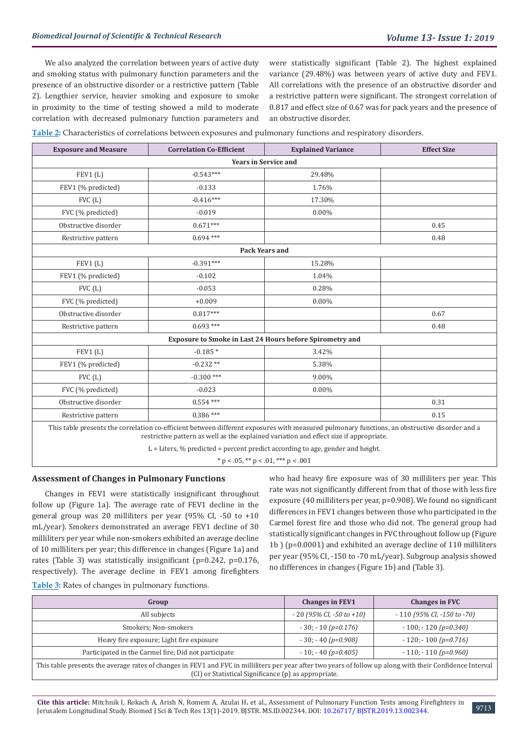We also analyzed the correlation between years of active duty and smoking status with pulmonary function parameters and the presence of an obstructive disorder or a restrictive pattern (Table 2). Lengthier service, heavier smoking and exposure to smoke in proximity to the time of testing showed a mild to moderate correlation with decreased pulmonary function parameters and

were statistically significant (Table 2). The highest explained variance (29.48%) was between years of active duty and FEV1. All correlations with the presence of an obstructive disorder and a restrictive pattern were significant. The strongest correlation of 0.817 and effect size of 0.67 was for pack years and the presence of an obstructive disorder.

**Table 2:** Characteristics of correlations between exposures and pulmonary functions and respiratory disorders.

| <b>Exposure and Measure</b>                              | <b>Correlation Co-Efficient</b>                                                                                                               | <b>Explained Variance</b> | <b>Effect Size</b> |  |  |  |
|----------------------------------------------------------|-----------------------------------------------------------------------------------------------------------------------------------------------|---------------------------|--------------------|--|--|--|
| <b>Years in Service and</b>                              |                                                                                                                                               |                           |                    |  |  |  |
| FEV1(L)                                                  | $-0.543***$                                                                                                                                   | 29.48%                    |                    |  |  |  |
| FEV1 (% predicted)                                       | $-0.133$                                                                                                                                      | 1.76%                     |                    |  |  |  |
| FVC (L)                                                  | $-0.416***$                                                                                                                                   | 17.30%                    |                    |  |  |  |
| FVC (% predicted)                                        | $-0.019$                                                                                                                                      | $0.00\%$                  |                    |  |  |  |
| Obstructive disorder                                     | $0.671***$                                                                                                                                    |                           | 0.45               |  |  |  |
| Restrictive pattern                                      | $0.694***$                                                                                                                                    |                           | 0.48               |  |  |  |
| <b>Pack Years and</b>                                    |                                                                                                                                               |                           |                    |  |  |  |
| FEV1(L)                                                  | $-0.391***$                                                                                                                                   | 15.28%                    |                    |  |  |  |
| FEV1 (% predicted)                                       | $-0.102$                                                                                                                                      | 1.04%                     |                    |  |  |  |
| FVC(L)                                                   | $-0.053$                                                                                                                                      | 0.28%                     |                    |  |  |  |
| FVC (% predicted)                                        | $+0.009$                                                                                                                                      | $0.00\%$                  |                    |  |  |  |
| Obstructive disorder                                     | $0.817***$                                                                                                                                    |                           | 0.67               |  |  |  |
| Restrictive pattern                                      | $0.693***$                                                                                                                                    |                           | 0.48               |  |  |  |
| Exposure to Smoke in Last 24 Hours before Spirometry and |                                                                                                                                               |                           |                    |  |  |  |
| FEV1(L)                                                  | $-0.185*$                                                                                                                                     | 3.42%                     |                    |  |  |  |
| FEV1 (% predicted)                                       | $-0.232**$                                                                                                                                    | 5.38%                     |                    |  |  |  |
| FVC(L)                                                   | $-0.300$ ***                                                                                                                                  | 9.00%                     |                    |  |  |  |
| FVC (% predicted)                                        | $-0.023$                                                                                                                                      | $0.00\%$                  |                    |  |  |  |
| Obstructive disorder                                     | $0.554***$                                                                                                                                    |                           | 0.31               |  |  |  |
| Restrictive pattern                                      | $0.386***$                                                                                                                                    |                           | 0.15               |  |  |  |
|                                                          | This table presents the correlation co-efficient between different exposures with measured pulmonary functions, an obstructive disorder and a |                           |                    |  |  |  |

restrictive pattern as well as the explained variation and effect size if appropriate. L = Liters, % predicted = percent predict according to age, gender and height.

 $*$  p < .05,  $*$  p < .01,  $**$  p < .001

#### **Assessment of Changes in Pulmonary Functions**

Changes in FEV1 were statistically insignificant throughout follow up (Figure 1a). The average rate of FEV1 decline in the general group was 20 milliliters per year (95% CI, -50 to +10 mL/year). Smokers demonstrated an average FEV1 decline of 30 milliliters per year while non-smokers exhibited an average decline of 10 milliliters per year; this difference in changes (Figure 1a) and rates (Table 3) was statistically insignificant (p=0.242, p=0.176, respectively). The average decline in FEV1 among firefighters

who had heavy fire exposure was of 30 milliliters per year. This rate was not significantly different from that of those with less fire exposure (40 milliliters per year, p=0.908). We found no significant differences in FEV1 changes between those who participated in the Carmel forest fire and those who did not. The general group had statistically significant changes in FVC throughout follow up (Figure 1b ) (p=0.0001) and exhibited an average decline of 110 milliliters per year (95% CI, -150 to -70 mL/year). Subgroup analysis showed no differences in changes (Figure 1b) and (Table 3).

| Table 3: Rates of changes in pulmonary functions. |  |  |  |
|---------------------------------------------------|--|--|--|
|---------------------------------------------------|--|--|--|

| Group                                                                                                                                                                                                              | <b>Changes in FEV1</b>          | <b>Changes in FVC</b>             |  |  |
|--------------------------------------------------------------------------------------------------------------------------------------------------------------------------------------------------------------------|---------------------------------|-----------------------------------|--|--|
| All subjects                                                                                                                                                                                                       | $-20$ (95% CI, $-50$ to $+10$ ) | $-110$ (95% CI, $-150$ to $-70$ ) |  |  |
| Smokers; Non-smokers                                                                                                                                                                                               | $-30$ ; $-10(p=0.176)$          | $-100$ ; $-120(p=0.340)$          |  |  |
| Heavy fire exposure; Light fire exposure                                                                                                                                                                           | $-30$ ; $-40$ (p=0.908)         | $-120$ ; $-100$ (p=0.716)         |  |  |
| Participated in the Carmel fire; Did not participate                                                                                                                                                               | $-10$ ; $-40$ (p=0.405)         | $-110$ ; $-110$ (p=0.960)         |  |  |
| This table presents the average rates of changes in FEV1 and FVC in milliliters per year after two years of follow up along with their Confidence Interval<br>(CI) or Statistical Significance (p) as appropriate. |                                 |                                   |  |  |

**Cite this article:** Mitchnik I, Rokach A, Arish N, Romem A, Azulai H**.** et al., Assessment of Pulmonary Function Tests among Firefighters in Jerusalem Longitudinal Study. Biomed J Sci & Tech Res 13(1)-2019. BJSTR. MS.ID.002344. DOI: [10.26717/ BJSTR.2019.13.002344](http://dx.doi.org/10.26717/BJSTR.2019.13.002344).

9713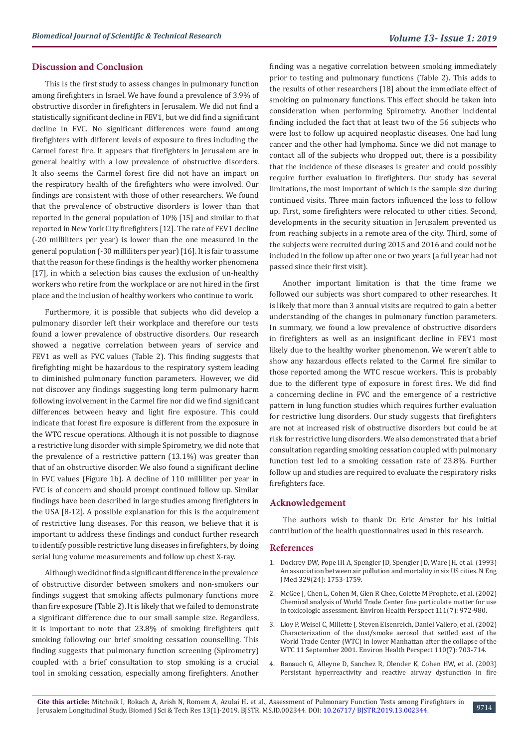#### **Discussion and Conclusion**

This is the first study to assess changes in pulmonary function among firefighters in Israel. We have found a prevalence of 3.9% of obstructive disorder in firefighters in Jerusalem. We did not find a statistically significant decline in FEV1, but we did find a significant decline in FVC. No significant differences were found among firefighters with different levels of exposure to fires including the Carmel forest fire. It appears that firefighters in Jerusalem are in general healthy with a low prevalence of obstructive disorders. It also seems the Carmel forest fire did not have an impact on the respiratory health of the firefighters who were involved. Our findings are consistent with those of other researchers. We found that the prevalence of obstructive disorders is lower than that reported in the general population of 10% [15] and similar to that reported in New York City firefighters [12]. The rate of FEV1 decline (-20 milliliters per year) is lower than the one measured in the general population (-30 milliliters per year) [16]. It is fair to assume that the reason for these findings is the healthy worker phenomena [17], in which a selection bias causes the exclusion of un-healthy workers who retire from the workplace or are not hired in the first place and the inclusion of healthy workers who continue to work.

Furthermore, it is possible that subjects who did develop a pulmonary disorder left their workplace and therefore our tests found a lower prevalence of obstructive disorders. Our research showed a negative correlation between years of service and FEV1 as well as FVC values (Table 2). This finding suggests that firefighting might be hazardous to the respiratory system leading to diminished pulmonary function parameters. However, we did not discover any findings suggesting long term pulmonary harm following involvement in the Carmel fire nor did we find significant differences between heavy and light fire exposure. This could indicate that forest fire exposure is different from the exposure in the WTC rescue operations. Although it is not possible to diagnose a restrictive lung disorder with simple Spirometry, we did note that the prevalence of a restrictive pattern (13.1%) was greater than that of an obstructive disorder. We also found a significant decline in FVC values (Figure 1b). A decline of 110 milliliter per year in FVC is of concern and should prompt continued follow up. Similar findings have been described in large studies among firefighters in the USA [8-12]. A possible explanation for this is the acquirement of restrictive lung diseases. For this reason, we believe that it is important to address these findings and conduct further research to identify possible restrictive lung diseases in firefighters, by doing serial lung volume measurements and follow up chest X-ray.

Although we did not find a significant difference in the prevalence of obstructive disorder between smokers and non-smokers our findings suggest that smoking affects pulmonary functions more than fire exposure (Table 2). It is likely that we failed to demonstrate a significant difference due to our small sample size. Regardless, it is important to note that 23.8% of smoking firefighters quit smoking following our brief smoking cessation counselling. This finding suggests that pulmonary function screening (Spirometry) coupled with a brief consultation to stop smoking is a crucial tool in smoking cessation, especially among firefighters. Another finding was a negative correlation between smoking immediately prior to testing and pulmonary functions (Table 2). This adds to the results of other researchers [18] about the immediate effect of smoking on pulmonary functions. This effect should be taken into consideration when performing Spirometry. Another incidental finding included the fact that at least two of the 56 subjects who were lost to follow up acquired neoplastic diseases. One had lung cancer and the other had lymphoma. Since we did not manage to contact all of the subjects who dropped out, there is a possibility that the incidence of these diseases is greater and could possibly require further evaluation in firefighters. Our study has several limitations, the most important of which is the sample size during continued visits. Three main factors influenced the loss to follow up. First, some firefighters were relocated to other cities. Second, developments in the security situation in Jerusalem prevented us from reaching subjects in a remote area of the city. Third, some of the subjects were recruited during 2015 and 2016 and could not be included in the follow up after one or two years (a full year had not passed since their first visit).

Another important limitation is that the time frame we followed our subjects was short compared to other researches. It is likely that more than 3 annual visits are required to gain a better understanding of the changes in pulmonary function parameters. In summary, we found a low prevalence of obstructive disorders in firefighters as well as an insignificant decline in FEV1 most likely due to the healthy worker phenomenon. We weren't able to show any hazardous effects related to the Carmel fire similar to those reported among the WTC rescue workers. This is probably due to the different type of exposure in forest fires. We did find a concerning decline in FVC and the emergence of a restrictive pattern in lung function studies which requires further evaluation for restrictive lung disorders. Our study suggests that firefighters are not at increased risk of obstructive disorders but could be at risk for restrictive lung disorders. We also demonstrated that a brief consultation regarding smoking cessation coupled with pulmonary function test led to a smoking cessation rate of 23.8%. Further follow up and studies are required to evaluate the respiratory risks firefighters face.

#### **Acknowledgement**

The authors wish to thank Dr. Eric Amster for his initial contribution of the health questionnaires used in this research.

#### **References**

- 1. [Dockrey DW, Pope III A, Spengler JD, Spengler JD, Ware JH, et al. \(1993\)](https://www.ncbi.nlm.nih.gov/pubmed/8179653) [An association between air pollution and mortality in six US cities. N Eng](https://www.ncbi.nlm.nih.gov/pubmed/8179653) [J Med 329\(24\): 1753-1759.](https://www.ncbi.nlm.nih.gov/pubmed/8179653)
- 2. [McGee J, Chen L, Cohen M, Glen R Chee, Colette M Prophete, et al. \(2002\)](https://www.ncbi.nlm.nih.gov/pmc/articles/PMC1241534/) [Chemical analysis of World Trade Center fine particulate matter for use](https://www.ncbi.nlm.nih.gov/pmc/articles/PMC1241534/) [in toxicologic assessment. Environ Health Perspect 111\(7\): 972-980.](https://www.ncbi.nlm.nih.gov/pmc/articles/PMC1241534/)
- 3. [Lioy P, Weisel C, Millette J, Steven Eisenreich, Daniel Vallero, et al. \(2002\)](https://www.ncbi.nlm.nih.gov/pmc/articles/PMC1240917/) [Characterization of the dust/smoke aerosol that settled east of the](https://www.ncbi.nlm.nih.gov/pmc/articles/PMC1240917/) [World Trade Center \(WTC\) in lower Manhattan after the collapse of the](https://www.ncbi.nlm.nih.gov/pmc/articles/PMC1240917/) [WTC 11 September 2001. Environ Health Perspect 110\(7\): 703-714.](https://www.ncbi.nlm.nih.gov/pmc/articles/PMC1240917/)
- 4. [Banauch G, Alleyne D, Sanchez R, Olender K, Cohen HW, et al. \(2003\)](https://www.ncbi.nlm.nih.gov/pubmed/12615613) [Persistant hyperreactivity and reactive airway dysfunction in fire](https://www.ncbi.nlm.nih.gov/pubmed/12615613)